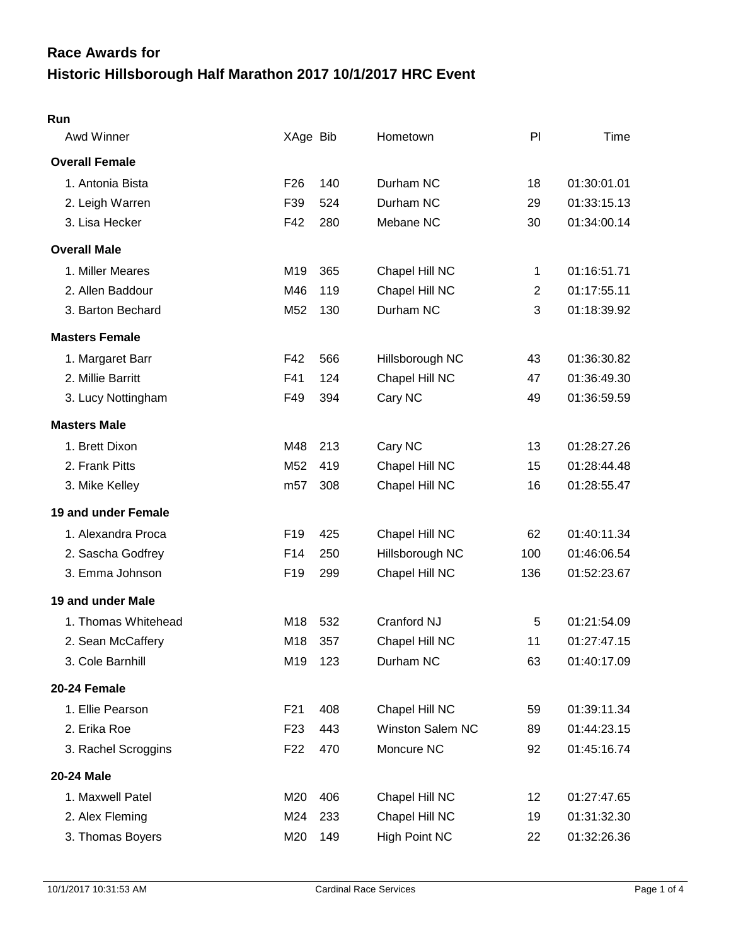# **Historic Hillsborough Half Marathon 2017 10/1/2017 HRC Event Race Awards for**

| <b>Awd Winner</b>     | XAge Bib        |     | Hometown                | PI             | Time        |
|-----------------------|-----------------|-----|-------------------------|----------------|-------------|
| <b>Overall Female</b> |                 |     |                         |                |             |
| 1. Antonia Bista      | F <sub>26</sub> | 140 | Durham NC               | 18             | 01:30:01.01 |
| 2. Leigh Warren       | F39             | 524 | Durham NC               | 29             | 01:33:15.13 |
| 3. Lisa Hecker        | F42             | 280 | Mebane NC               | 30             | 01:34:00.14 |
| <b>Overall Male</b>   |                 |     |                         |                |             |
| 1. Miller Meares      | M19             | 365 | Chapel Hill NC          | 1              | 01:16:51.71 |
| 2. Allen Baddour      | M46             | 119 | Chapel Hill NC          | $\overline{2}$ | 01:17:55.11 |
| 3. Barton Bechard     | M52             | 130 | Durham NC               | 3              | 01:18:39.92 |
| <b>Masters Female</b> |                 |     |                         |                |             |
| 1. Margaret Barr      | F42             | 566 | Hillsborough NC         | 43             | 01:36:30.82 |
| 2. Millie Barritt     | F41             | 124 | Chapel Hill NC          | 47             | 01:36:49.30 |
| 3. Lucy Nottingham    | F49             | 394 | Cary NC                 | 49             | 01:36:59.59 |
| <b>Masters Male</b>   |                 |     |                         |                |             |
| 1. Brett Dixon        | M48             | 213 | Cary NC                 | 13             | 01:28:27.26 |
| 2. Frank Pitts        | M52             | 419 | Chapel Hill NC          | 15             | 01:28:44.48 |
| 3. Mike Kelley        | m <sub>57</sub> | 308 | Chapel Hill NC          | 16             | 01:28:55.47 |
| 19 and under Female   |                 |     |                         |                |             |
| 1. Alexandra Proca    | F <sub>19</sub> | 425 | Chapel Hill NC          | 62             | 01:40:11.34 |
| 2. Sascha Godfrey     | F14             | 250 | Hillsborough NC         | 100            | 01:46:06.54 |
| 3. Emma Johnson       | F <sub>19</sub> | 299 | Chapel Hill NC          | 136            | 01:52:23.67 |
| 19 and under Male     |                 |     |                         |                |             |
| 1. Thomas Whitehead   | M18             | 532 | Cranford NJ             | 5              | 01:21:54.09 |
| 2. Sean McCaffery     | M18             | 357 | Chapel Hill NC          | 11             | 01:27:47.15 |
| 3. Cole Barnhill      | M19             | 123 | Durham NC               | 63             | 01:40:17.09 |
| 20-24 Female          |                 |     |                         |                |             |
| 1. Ellie Pearson      | F21             | 408 | Chapel Hill NC          | 59             | 01:39:11.34 |
| 2. Erika Roe          | F <sub>23</sub> | 443 | <b>Winston Salem NC</b> | 89             | 01:44:23.15 |
| 3. Rachel Scroggins   | F <sub>22</sub> | 470 | Moncure NC              | 92             | 01:45:16.74 |
| 20-24 Male            |                 |     |                         |                |             |
| 1. Maxwell Patel      | M20             | 406 | Chapel Hill NC          | 12             | 01:27:47.65 |
| 2. Alex Fleming       | M24             | 233 | Chapel Hill NC          | 19             | 01:31:32.30 |
| 3. Thomas Boyers      | M20             | 149 | <b>High Point NC</b>    | 22             | 01:32:26.36 |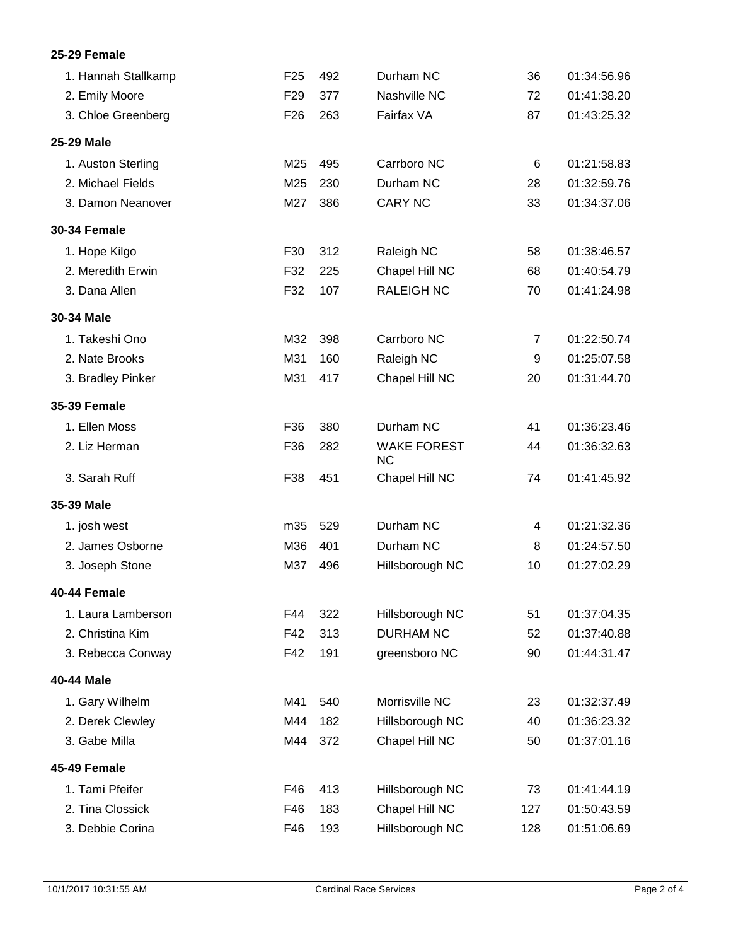# **25-29 Female**

| 1. Hannah Stallkamp | F <sub>25</sub> | 492 | Durham NC                       | 36  | 01:34:56.96 |
|---------------------|-----------------|-----|---------------------------------|-----|-------------|
| 2. Emily Moore      | F <sub>29</sub> | 377 | Nashville NC                    | 72  | 01:41:38.20 |
| 3. Chloe Greenberg  | F <sub>26</sub> | 263 | Fairfax VA                      | 87  | 01:43:25.32 |
| 25-29 Male          |                 |     |                                 |     |             |
| 1. Auston Sterling  | M25             | 495 | Carrboro NC                     | 6   | 01:21:58.83 |
| 2. Michael Fields   | M25             | 230 | Durham NC                       | 28  | 01:32:59.76 |
| 3. Damon Neanover   | M27             | 386 | <b>CARY NC</b>                  | 33  | 01:34:37.06 |
| <b>30-34 Female</b> |                 |     |                                 |     |             |
| 1. Hope Kilgo       | F30             | 312 | Raleigh NC                      | 58  | 01:38:46.57 |
| 2. Meredith Erwin   | F32             | 225 | Chapel Hill NC                  | 68  | 01:40:54.79 |
| 3. Dana Allen       | F32             | 107 | <b>RALEIGH NC</b>               | 70  | 01:41:24.98 |
| 30-34 Male          |                 |     |                                 |     |             |
| 1. Takeshi Ono      | M32             | 398 | Carrboro NC                     | 7   | 01:22:50.74 |
| 2. Nate Brooks      | M31             | 160 | Raleigh NC                      | 9   | 01:25:07.58 |
| 3. Bradley Pinker   | M31             | 417 | Chapel Hill NC                  | 20  | 01:31:44.70 |
| <b>35-39 Female</b> |                 |     |                                 |     |             |
| 1. Ellen Moss       | F36             | 380 | Durham NC                       | 41  | 01:36:23.46 |
| 2. Liz Herman       | F36             | 282 | <b>WAKE FOREST</b><br><b>NC</b> | 44  | 01:36:32.63 |
| 3. Sarah Ruff       | F38             | 451 | Chapel Hill NC                  | 74  | 01:41:45.92 |
| 35-39 Male          |                 |     |                                 |     |             |
| 1. josh west        | m35             | 529 | Durham NC                       | 4   | 01:21:32.36 |
| 2. James Osborne    | M36             | 401 | Durham NC                       | 8   | 01:24:57.50 |
| 3. Joseph Stone     | M37             | 496 | Hillsborough NC                 | 10  | 01:27:02.29 |
| 40-44 Female        |                 |     |                                 |     |             |
| 1. Laura Lamberson  | F44             | 322 | Hillsborough NC                 | 51  | 01:37:04.35 |
| 2. Christina Kim    | F42             | 313 | <b>DURHAM NC</b>                | 52  | 01:37:40.88 |
| 3. Rebecca Conway   | F42             | 191 | greensboro NC                   | 90  | 01:44:31.47 |
| 40-44 Male          |                 |     |                                 |     |             |
| 1. Gary Wilhelm     | M41             | 540 | Morrisville NC                  | 23  | 01:32:37.49 |
| 2. Derek Clewley    | M44             | 182 | Hillsborough NC                 | 40  | 01:36:23.32 |
| 3. Gabe Milla       | M44             | 372 | Chapel Hill NC                  | 50  | 01:37:01.16 |
| 45-49 Female        |                 |     |                                 |     |             |
| 1. Tami Pfeifer     | F46             | 413 | Hillsborough NC                 | 73  | 01:41:44.19 |
| 2. Tina Clossick    | F46             | 183 | Chapel Hill NC                  | 127 | 01:50:43.59 |
| 3. Debbie Corina    | F46             | 193 | Hillsborough NC                 | 128 | 01:51:06.69 |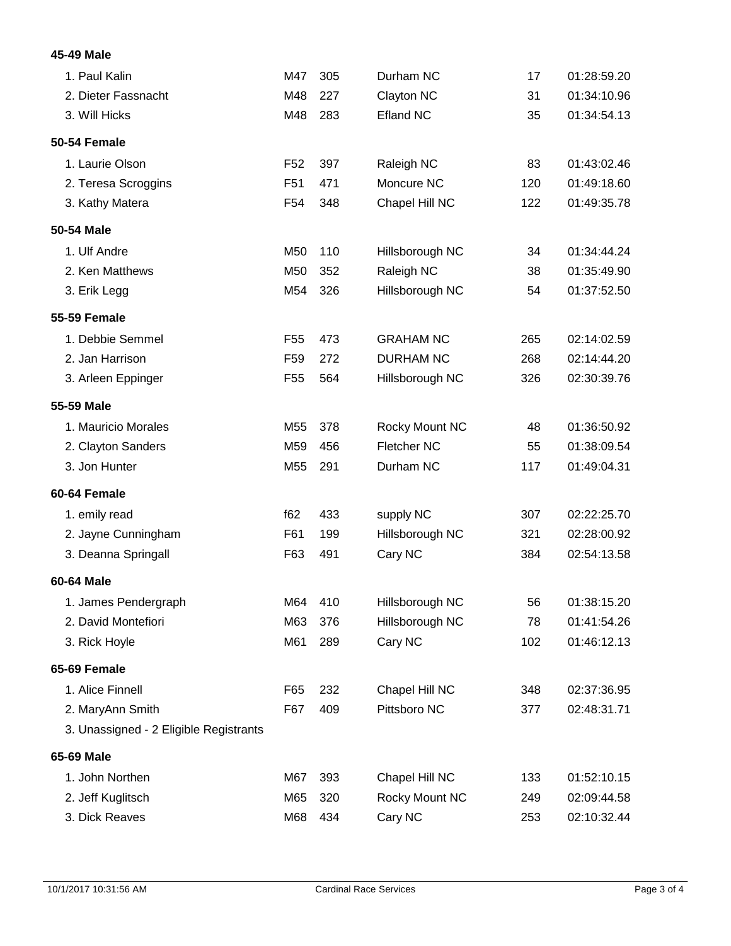# **45-49 Male**

| 1. Paul Kalin                          | M47             | 305 | Durham NC          | 17  | 01:28:59.20 |
|----------------------------------------|-----------------|-----|--------------------|-----|-------------|
| 2. Dieter Fassnacht                    | M48             | 227 | Clayton NC         | 31  | 01:34:10.96 |
| 3. Will Hicks                          | M48             | 283 | <b>Efland NC</b>   | 35  | 01:34:54.13 |
| <b>50-54 Female</b>                    |                 |     |                    |     |             |
| 1. Laurie Olson                        | F <sub>52</sub> | 397 | Raleigh NC         | 83  | 01:43:02.46 |
| 2. Teresa Scroggins                    | F <sub>51</sub> | 471 | Moncure NC         | 120 | 01:49:18.60 |
| 3. Kathy Matera                        | F <sub>54</sub> | 348 | Chapel Hill NC     | 122 | 01:49:35.78 |
| 50-54 Male                             |                 |     |                    |     |             |
| 1. Ulf Andre                           | M50             | 110 | Hillsborough NC    | 34  | 01:34:44.24 |
| 2. Ken Matthews                        | M50             | 352 | Raleigh NC         | 38  | 01:35:49.90 |
| 3. Erik Legg                           | M54             | 326 | Hillsborough NC    | 54  | 01:37:52.50 |
| <b>55-59 Female</b>                    |                 |     |                    |     |             |
| 1. Debbie Semmel                       | F <sub>55</sub> | 473 | <b>GRAHAM NC</b>   | 265 | 02:14:02.59 |
| 2. Jan Harrison                        | F <sub>59</sub> | 272 | <b>DURHAM NC</b>   | 268 | 02:14:44.20 |
| 3. Arleen Eppinger                     | F <sub>55</sub> | 564 | Hillsborough NC    | 326 | 02:30:39.76 |
| 55-59 Male                             |                 |     |                    |     |             |
| 1. Mauricio Morales                    | M55             | 378 | Rocky Mount NC     | 48  | 01:36:50.92 |
| 2. Clayton Sanders                     | M59             | 456 | <b>Fletcher NC</b> | 55  | 01:38:09.54 |
| 3. Jon Hunter                          | M <sub>55</sub> | 291 | Durham NC          | 117 | 01:49:04.31 |
| 60-64 Female                           |                 |     |                    |     |             |
| 1. emily read                          | f62             | 433 | supply NC          | 307 | 02:22:25.70 |
| 2. Jayne Cunningham                    | F61             | 199 | Hillsborough NC    | 321 | 02:28:00.92 |
| 3. Deanna Springall                    | F63             | 491 | Cary NC            | 384 | 02:54:13.58 |
| 60-64 Male                             |                 |     |                    |     |             |
| 1. James Pendergraph                   | M64             | 410 | Hillsborough NC    | 56  | 01:38:15.20 |
| 2. David Montefiori                    | M63             | 376 | Hillsborough NC    | 78  | 01:41:54.26 |
| 3. Rick Hoyle                          | M61             | 289 | Cary NC            | 102 | 01:46:12.13 |
| 65-69 Female                           |                 |     |                    |     |             |
| 1. Alice Finnell                       | F65             | 232 | Chapel Hill NC     | 348 | 02:37:36.95 |
| 2. MaryAnn Smith                       | F67             | 409 | Pittsboro NC       | 377 | 02:48:31.71 |
| 3. Unassigned - 2 Eligible Registrants |                 |     |                    |     |             |
| 65-69 Male                             |                 |     |                    |     |             |
| 1. John Northen                        | M67             | 393 | Chapel Hill NC     | 133 | 01:52:10.15 |
| 2. Jeff Kuglitsch                      | M65             | 320 | Rocky Mount NC     | 249 | 02:09:44.58 |
| 3. Dick Reaves                         | M68             | 434 | Cary NC            | 253 | 02:10:32.44 |